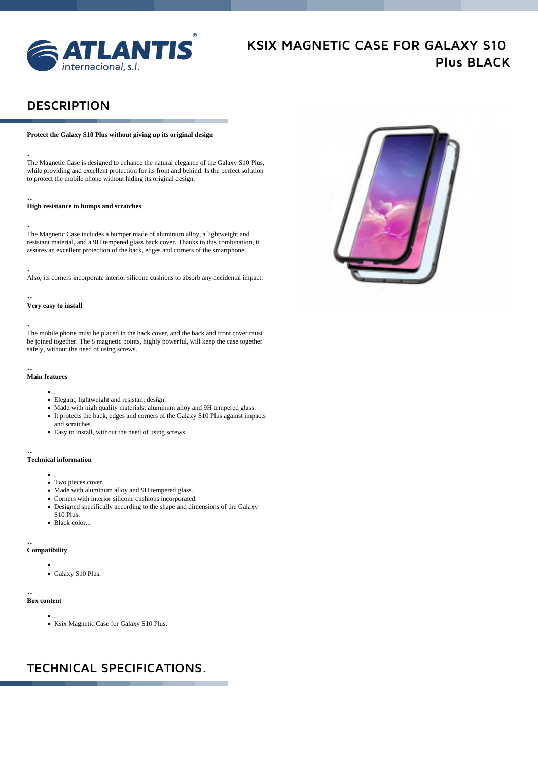

. . . . . . .

# **KSIX MAGNETIC CASE FOR GALAXY S10 Plus BLACK**

. . . . . . .

## **DESCRIPTION**

#### **Protect the Galaxy S10 Plus without giving up its original design**

The Magnetic Case is designed to enhance the natural elegance of the Galaxy S10 Plus, while providing and excellent protection for its front and behind. Is the perfect solution to protect the mobile phone without hiding its original design.

#### .. **High resistance to bumps and scratches**

. The Magnetic Case includes a bumper made of aluminum alloy, a lightweight and resistant material, and a 9H tempered glass back cover. Thanks to this combination, it assures an excellent protection of the back, edges and corners of the smartphone.

### .

.

Also, its corners incorporate interior silicone cushions to absorb any accidental impact.

## ..

#### **Very easy to install**

### .

The mobile phone must be placed in the back cover, and the back and front cover must be joined together. The 8 magnetic points, highly powerful, will keep the case together safely, without the need of using screws.

#### .. **Main features**

- .
- Elegant, lightweight and resistant design.
- Made with high quality materials: aluminum alloy and 9H tempered glass. It protects the back, edges and corners of the Galaxy S10 Plus against impacts and scratches.
- Easy to install, without the need of using screws.

### ..

#### **Technical information**

- .
- Two pieces cover.
- Made with aluminum alloy and 9H tempered glass.
- Corners with interior silicone cushions incorporated.
- Designed specifically according to the shape and dimensions of the Galaxy S10 Plus.
- Black color...

#### .. **Compatibility**

. Galaxy S10 Plus.

#### .. **Box content**

. Ksix Magnetic Case for Galaxy S10 Plus.

## **TECHNICAL SPECIFICATIONS.**